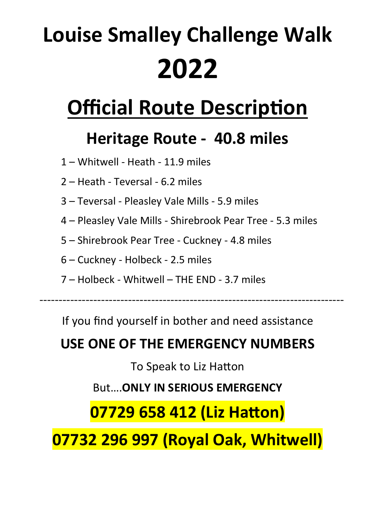# **Louise Smalley Challenge Walk 2022**

# **Official Route Description**

# **Heritage Route - 40.8 miles**

- 1 Whitwell Heath 11.9 miles
- 2 Heath Teversal 6.2 miles
- 3 Teversal Pleasley Vale Mills 5.9 miles
- 4 Pleasley Vale Mills Shirebrook Pear Tree 5.3 miles
- 5 Shirebrook Pear Tree Cuckney 4.8 miles
- 6 Cuckney Holbeck 2.5 miles
- 7 Holbeck Whitwell THE END 3.7 miles

-------------------------------------------------------------------------------

If you find yourself in bother and need assistance

# **USE ONE OF THE EMERGENCY NUMBERS**

To Speak to Liz Hatton

But….**ONLY IN SERIOUS EMERGENCY**

# **07729 658 412 (Liz Hatton)**

**07732 296 997 (Royal Oak, Whitwell)**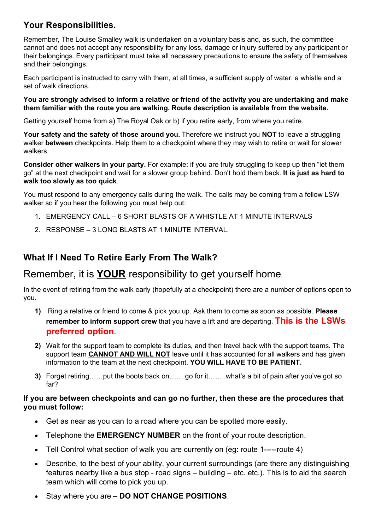### **Your Responsibilities.**

Remember, The Louise Smalley walk is undertaken on a voluntary basis and, as such, the committee cannot and does not accept any responsibility for any loss, damage or injury suffered by any participant or their belongings. Every participant must take all necessary precautions to ensure the safety of themselves and their belongings.

Each participant is instructed to carry with them, at all times, a sufficient supply of water, a whistle and a set of walk directions.

**You are strongly advised to inform a relative or friend of the activity you are undertaking and make them familiar with the route you are walking. Route description is available from the website.**

Getting yourself home from a) The Royal Oak or b) if you retire early, from where you retire.

**Your safety and the safety of those around you.** Therefore we instruct you **NOT** to leave a struggling walker **between** checkpoints. Help them to a checkpoint where they may wish to retire or wait for slower walkers.

**Consider other walkers in your party.** For example: if you are truly struggling to keep up then "let them go" at the next checkpoint and wait for a slower group behind. Don't hold them back. **It is just as hard to walk too slowly as too quick**.

You must respond to any emergency calls during the walk. The calls may be coming from a fellow LSW walker so if you hear the following you must help out:

- 1. EMERGENCY CALL 6 SHORT BLASTS OF A WHISTLE AT 1 MINUTE INTERVALS
- 2. RESPONSE 3 LONG BLASTS AT 1 MINUTE INTERVAL.

### **What If I Need To Retire Early From The Walk?**

### Remember, it is **YOUR** responsibility to get yourself home.

In the event of retiring from the walk early (hopefully at a checkpoint) there are a number of options open to you.

- **1)** Ring a relative or friend to come & pick you up. Ask them to come as soon as possible. **Please remember to inform support crew** that you have a lift and are departing. **This is the LSWs preferred option.**
- **2)** Wait for the support team to complete its duties, and then travel back with the support teams. The support team **CANNOT AND WILL NOT** leave until it has accounted for all walkers and has given information to the team at the next checkpoint. **YOU WILL HAVE TO BE PATIENT.**
- **3)** Forget retiring……put the boots back on…….go for it……..what's a bit of pain after you've got so far?

#### **If you are between checkpoints and can go no further, then these are the procedures that you must follow:**

- Get as near as you can to a road where you can be spotted more easily.
- Telephone the **EMERGENCY NUMBER** on the front of your route description.
- Tell Control what section of walk you are currently on (eg: route 1-----route 4)
- Describe, to the best of your ability, your current surroundings (are there any distinguishing features nearby like a bus stop - road signs – building – etc. etc.). This is to aid the search team which will come to pick you up.
- Stay where you are  **DO NOT CHANGE POSITIONS**.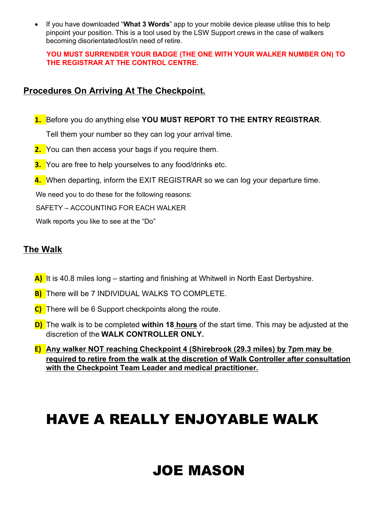If you have downloaded "**What 3 Words**" app to your mobile device please utilise this to help pinpoint your position. This is a tool used by the LSW Support crews in the case of walkers becoming disorientated/lost/in need of retire.

#### **YOU MUST SURRENDER YOUR BADGE (THE ONE WITH YOUR WALKER NUMBER ON) TO THE REGISTRAR AT THE CONTROL CENTRE.**

### **Procedures On Arriving At The Checkpoint.**

- **1.** Before you do anything else **YOU MUST REPORT TO THE ENTRY REGISTRAR**. Tell them your number so they can log your arrival time.
- **2.** You can then access your bags if you require them.
- **3.** You are free to help yourselves to any food/drinks etc.
- **4.** When departing, inform the EXIT REGISTRAR so we can log your departure time.

We need you to do these for the following reasons:

SAFETY – ACCOUNTING FOR EACH WALKER

Walk reports you like to see at the "Do"

### **The Walk**

- **A)** It is 40.8 miles long starting and finishing at Whitwell in North East Derbyshire.
- **B)** There will be 7 INDIVIDUAL WALKS TO COMPLETE.
- **C)** There will be 6 Support checkpoints along the route.
- **D)** The walk is to be completed **within 18 hours** of the start time. This may be adjusted at the discretion of the **WALK CONTROLLER ONLY.**
- **E) Any walker NOT reaching Checkpoint 4 (Shirebrook (29.3 miles) by 7pm may be required to retire from the walk at the discretion of Walk Controller after consultation with the Checkpoint Team Leader and medical practitioner.**

# HAVE A REALLY ENJOYABLE WALK

# JOE MASON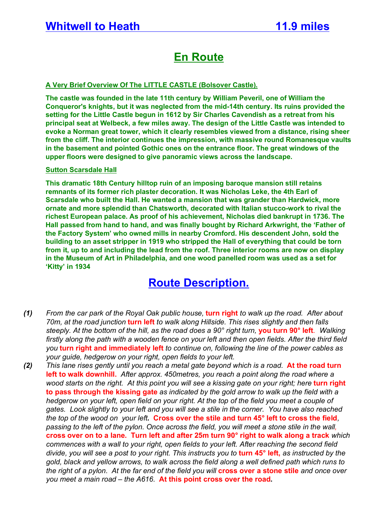### **En Route**

#### **A Very Brief Overview Of The LITTLE CASTLE (Bolsover Castle).**

**The castle was founded in the late 11th century by William Peveril, one of William the Conqueror's knights, but it was neglected from the mid-14th century. Its ruins provided the setting for the Little Castle begun in 1612 by Sir Charles Cavendish as a retreat from his principal seat at Welbeck, a few miles away. The design of the Little Castle was intended to evoke a Norman great tower, which it clearly resembles viewed from a distance, rising sheer from the cliff. The interior continues the impression, with massive round Romanesque vaults in the basement and pointed Gothic ones on the entrance floor. The great windows of the upper floors were designed to give panoramic views across the landscape.**

#### **Sutton Scarsdale Hall**

**This dramatic 18th Century hilltop ruin of an imposing baroque mansion still retains remnants of its former rich plaster decoration. It was Nicholas Leke, the 4th Earl of Scarsdale who built the Hall. He wanted a mansion that was grander than Hardwick, more ornate and more splendid than Chatsworth, decorated with Italian stucco-work to rival the richest European palace. As proof of his achievement, Nicholas died bankrupt in 1736. The Hall passed from hand to hand, and was finally bought by Richard Arkwright, the 'Father of the Factory System' who owned mills in nearby Cromford. His descendent John, sold the building to an asset stripper in 1919 who stripped the Hall of everything that could be torn from it, up to and including the lead from the roof. Three interior rooms are now on display in the Museum of Art in Philadelphia, and one wood panelled room was used as a set for 'Kitty' in 1934**

- *(1) From the car park of the Royal Oak public house,* **turn right** *to walk up the road. After about 70m, at the road junction* **turn left** *to walk along Hillside. This rises slightly and then falls steeply. At the bottom of the hill, as the road does a 90° right turn,* **you turn 90° left***. Walking*  firstly along the path with a wooden fence on your left and then open fields. After the third field *you* **turn right and immediately left** *to continue on, following the line of the power cables as your guide, hedgerow on your right, open fields to your left.*
- *(2) This lane rises gently until you reach a metal gate beyond which is a road.* **At the road turn left to walk downhill.** *After approx. 450metres, you reach a point along the road where a wood starts on the right. At this point you will see a kissing gate on your right; here turn right* **to pass through the kissing gate** *as indicated by the gold arrow to walk up the field with a hedgerow on your left, open field on your right. At the top of the field you meet a couple of gates. Look slightly to your left and you will see a stile in the corner. You have also reached the top of the wood on your left***. Cross over the stile and turn 45° left to cross the field***, passing to the left of the pylon. Once across the field, you will meet a stone stile in the wall,*  **cross over on to a lane. Turn left and after 25m turn 90° right to walk along a track** *which commences with a wall to your right, open fields to your left. After reaching the second field divide, you will see a post to your right. This instructs you to* **turn 45° left,** *as instructed by the gold, black and yellow arrows, to walk across the field along a well defined path which runs to the right of a pylon. At the far end of the field you will* **cross over a stone stile** *and once over you meet a main road – the A616.* **At this point cross over the road.**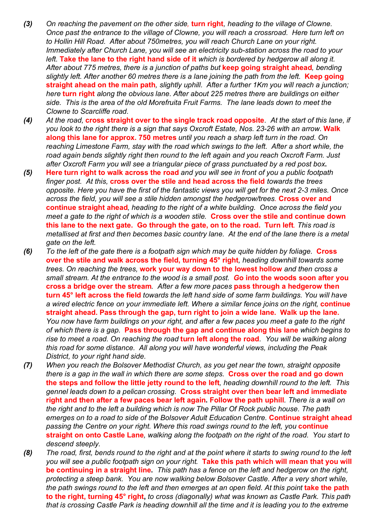- *(3) On reaching the pavement on the other side,* **turn right***, heading to the village of Clowne. Once past the entrance to the village of Clowne, you will reach a crossroad. Here turn left on to Hollin Hill Road. After about 750metres, you will reach Church Lane on your right. Immediately after Church Lane, you will see an electricity sub-station across the road to your left.* **Take the lane to the right hand side of it** *which is bordered by hedgerow all along it. After about 775 metres, there is a junction of paths but* **keep going straight ahead***, bending slightly left. After another 60 metres there is a lane joining the path from the left.* **Keep going straight ahead on the main path***, slightly uphill. After a further 1Km you will reach a junction; here* **turn right** *along the obvious lane. After about 225 metres there are buildings on either side. This is the area of the old Morefruita Fruit Farms. The lane leads down to meet the Clowne to Scarcliffe road.*
- *(4) At the road,* **cross straight over to the single track road opposite***. At the start of this lane, if you look to the right there is a sign that says Oxcroft Estate, Nos. 23-26 with an arrow.* **Walk along this lane for approx. 750 metres** *until you reach a sharp left turn in the road. On*  reaching Limestone Farm, stay with the road which swings to the left. After a short while, the *road again bends slightly right then round to the left again and you reach Oxcroft Farm. Just after Oxcroft Farm you will see a triangular piece of grass punctuated by a red post box***.**
- *(5)* **Here turn right to walk across the road** *and you will see in front of you a public footpath finger post. At this,* **cross over the stile and head across the field** *towards the trees opposite. Here you have the first of the fantastic views you will get for the next 2-3 miles. Once across the field, you will see a stile hidden amongst the hedgerow/trees.* **Cross over and continue straight ahead***, heading to the right of a white building. Once across the field you meet a gate to the right of which is a wooden stile.* **Cross over the stile and continue down this lane to the next gate. Go through the gate, on to the road. Turn left***. This road is metallised at first and then becomes basic country lane. At the end of the lane there is a metal gate on the left.*
- *(6) To the left of the gate there is a footpath sign which may be quite hidden by foliage.* **Cross over the stile and walk across the field, turning 45° right***, heading downhill towards some trees. On reaching the trees,* **work your way down to the lowest hollow** *and then cross a small stream. At the entrance to the wood is a small post. G***o into the woods soon after you cross a bridge over the stream***. After a few more paces* **pass through a hedgerow then turn 45° left across the field** *towards the left hand side of some farm buildings. You will have a wired electric fence on your immediate left. Where a similar fence joins on the right,* **continue straight ahead. Pass through the gap, turn right to join a wide lane. Walk up the lane.** *You now have farm buildings on your right, and after a few paces you meet a gate to the right of which there is a gap.* **Pass through the gap and continue along this lane** *which begins to rise to meet a road. On reaching the road* **turn left along the road***. You will be walking along this road for some distance. All along you will have wonderful views, including the Peak District, to your right hand side.*
- *(7) When you reach the Bolsover Methodist Church, as you get near the town, straight opposite there is a gap in the wall in which there are some steps.* **Cross over the road and go down the steps and follow the little jetty round to the left***, heading downhill round to the left. This gennel leads down to a pelican crossing.* **Cross straight over then bear left and immediate right and then after a few paces bear left again. Follow the path uphill***. There is a wall on the right and to the left a building which is now The Pillar Of Rock public house. The path emerges on to a road to side of the Bolsover Adult Education Centre.* **Continue straight ahead** *passing the Centre on your right. Where this road swings round to the left, you* **continue straight on onto Castle Lane***, walking along the footpath on the right of the road. You start to descend steeply.*
- *(8) The road, first, bends round to the right and at the point where it starts to swing round to the left you will see a public footpath sign on your right.* **Take this path which will mean that you will be continuing in a straight line.** *This path has a fence on the left and hedgerow on the right, protecting a steep bank. You are now walking below Bolsover Castle. After a very short while, the path swings round to the left and then emerges at an open field. At this point take the path* **to the right, turning 45° right,** *to cross (diagonally) what was known as Castle Park. This path that is crossing Castle Park is heading downhill all the time and it is leading you to the extreme*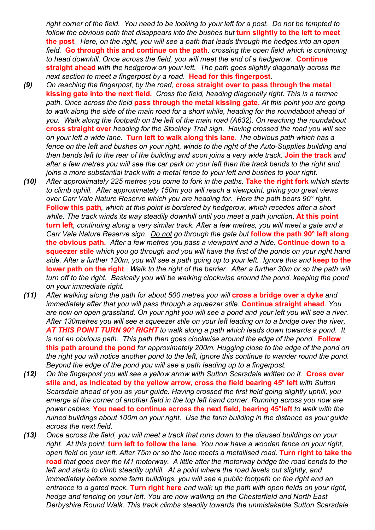*right corner of the field. You need to be looking to your left for a post. Do not be tempted to follow the obvious path that disappears into the bushes but* **turn slightly to the left to meet the post***. Here, on the right, you will see a path that leads through the hedges into an open field.* **Go through this and continue on the path***, crossing the open field which is continuing to head downhill. Once across the field, you will meet the end of a hedgerow.* **Continue straight ahead** *with the hedgerow on your left. The path goes slightly diagonally across the next section to meet a fingerpost by a road.* **Head for this fingerpost***.* 

- *(9) On reaching the fingerpost, by the road,* **cross straight over to pass through the metal kissing gate into the next field.** *Cross the field, heading diagonally right. This is a tarmac path. Once across the field* **pass through the metal kissing gate.** *At this point you are going to walk along the side of the main road for a short while, heading for the roundabout ahead of you. Walk along the footpath on the left of the main road (A632). On reaching the roundabout*  **cross straight over** *heading for the Stockley Trail sign. Having crossed the road you will see on your left a wide lane.* **Turn left to walk along this lane.** *The obvious path which has a fence on the left and bushes on your right, winds to the right of the Auto-Supplies building and then bends left to the rear of the building and soon joins a very wide track.* **Join the track** *and after a few metres you will see the car park on your left then the track bends to the right and joins a more substantial track with a metal fence to your left and bushes to your right.*
- *(10) After approximately 225 metres you come to fork in the paths.* **Take the right fork** *which starts to climb uphill. After approximately 150m you will reach a viewpoint, giving you great views over Carr Vale Nature Reserve which you are heading for. Here the path bears 90° right.*  **Follow this path***, which at this point is bordered by hedgerow, which recedes after a short while. The track winds its way steadily downhill until you meet a path junction***. At this point turn left***, continuing along a very similar track. After a few metres, you will meet a gate and a Carr Vale Nature Reserve sign. Do not go through the gate but* **follow the path 90° left along the obvious path.** *After a few metres you pass a viewpoint and a hide.* **Continue down to a squeezer stile** *which you go through and you will have the first of the ponds on your right hand* side. After a further 120m, you will see a path going up to your left. Ignore this and **keep to the lower path on the right***. Walk to the right of the barrier. After a further 30m or so the path will turn off to the right. Basically you will be walking clockwise around the pond, keeping the pond on your immediate right.*
- *(11) After walking along the path for about 500 metres you will* **cross a bridge over a dyke** *and immediately after that you will pass through a squeezer stile.* **Continue straight ahead***. You are now on open grassland. On your right you will see a pond and your left you will see a river. After 130metres you will see a squeezer stile on your left leading on to a bridge over the river, AT THIS POINT TURN 90° RIGHT to walk along a path which leads down towards a pond. It is not an obvious path.* This path then goes clockwise around the edge of the pond. Follow **this path around the pond** *for approximately 200m. Hugging close to the edge of the pond on the right you will notice another pond to the left, ignore this continue to wander round the pond. Beyond the edge of the pond you will see a path leading up to a fingerpost.*
- *(12) On the fingerpost you will see a yellow arrow with Sutton Scarsdale written on it.* **Cross over stile and, as indicated by the yellow arrow, cross the field bearing 45° left** *with Sutton Scarsdale ahead of you as your guide. Having crossed the first field going slightly uphill, you emerge at the corner of another field in the top left hand corner. Running across you now are power cables.* **You need to continue across the next field, bearing 45°left** *to walk with the ruined buildings about 100m on your right. Use the farm building in the distance as your guide across the next field.*
- *(13) Once across the field, you will meet a track that runs down to the disused buildings on your right. At this point,* **turn left to follow the lane***. You now have a wooden fence on your right, open field on your left. After 75m or so the lane meets a metallised road.* **Turn right to take the road** *that goes over the M1 motorway. A little after the motorway bridge the road bends to the*  left and starts to climb steadily uphill. At a point where the road levels out slightly, and *immediately before some farm buildings, you will see a public footpath on the right and an entrance to a gated track.* **Turn right here** *and walk up the path with open fields on your right, hedge and fencing on your left. You are now walking on the Chesterfield and North East Derbyshire Round Walk. This track climbs steadily towards the unmistakable Sutton Scarsdale*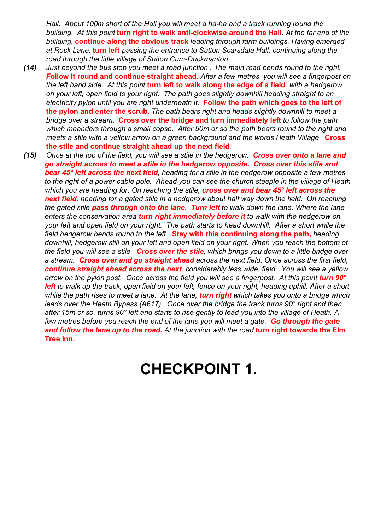*Hall. About 100m short of the Hall you will meet a ha-ha and a track running round the building. At this point* **turn right to walk anti-clockwise around the Hall***. At the far end of the building,* **continue along the obvious track** *leading through farm buildings. Having emerged at Rock Lane,* **turn left** *passing the entrance to Sutton Scarsdale Hall, continuing along the road through the little village of Sutton Cum-Duckmanton.*

- *(14) Just beyond the bus stop you meet a road junction . The main road bends round to the right. F***ollow it round and continue straight ahead.** *After a few metres you will see a fingerpost on the left hand side. At this point* **turn left to walk along the edge of a field***, with a hedgerow on your left, open field to your right. The path goes slightly downhill heading straight to an electricity pylon until you are right underneath it.* **Follow the path which goes to the left of the pylon and enter the scrub.** *The path bears right and heads slightly downhill to meet a bridge over a stream.* **Cross over the bridge and turn immediately left** *to follow the path which meanders through a small copse. After 50m or so the path bears round to the right and meets a stile with a yellow arrow on a green background and the words Heath Village.* **Cross the stile and continue straight ahead up the next field***.*
- *(15) Once at the top of the field, you will see a stile in the hedgerow. Cross over onto a lane and go straight across to meet a stile in the hedgerow opposite. Cross over this stile and bear 45° left across the next field, heading for a stile in the hedgerow opposite a few metres to the right of a power cable pole. Ahead you can see the church steeple in the village of Heath which you are heading for. On reaching the stile, cross over and bear 45° left across the next field, heading for a gated stile in a hedgerow about half way down the field. On reaching the gated stile pass through onto the lane. Turn left to walk down the lane. Where the lane enters the conservation area turn right immediately before it to walk with the hedgerow on your left and open field on your right. The path starts to head downhill. After a short while the field hedgerow bends round to the left.* **Stay with this continuing along the path,** *heading downhill, hedgerow still on your left and open field on your right. When you reach the bottom of the field you will see a stile. Cross over the stile, which brings you down to a little bridge over a stream. Cross over and go straight ahead across the next field. Once across the first field, continue straight ahead across the next, considerably less wide, field. You will see a yellow*  arrow on the pylon post. Once across the field you will see a fingerpost. At this point **turn 90°** *left to walk up the track, open field on your left, fence on your right, heading uphill. After a short while the path rises to meet a lane. At the lane, turn right which takes you onto a bridge which leads over the Heath Bypass (A617). Once over the bridge the track turns 90° right and then after 15m or so, turns 90° left and starts to rise gently to lead you into the village of Heath. A few metres before you reach the end of the lane you will meet a gate. Go through the gate and follow the lane up to the road. At the junction with the road* **turn right towards the Elm Tree Inn.**

# **CHECKPOINT 1.**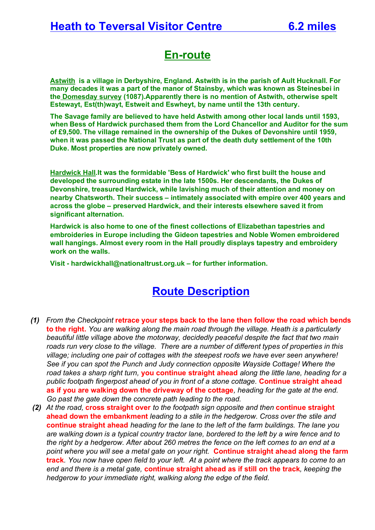### **En-route**

**Astwith is a village in Derbyshire, England. Astwith is in the parish of Ault Hucknall. For many decades it was a part of the manor of Stainsby, which was known as Steinesbei in the Domesday survey (1087).Apparently there is no mention of Astwith, otherwise spelt Estewayt, Est(th)wayt, Estweit and Eswheyt, by name until the 13th century.**

**The Savage family are believed to have held Astwith among other local lands until 1593, when Bess of Hardwick purchased them from the Lord Chancellor and Auditor for the sum of £9,500. The village remained in the ownership of the Dukes of Devonshire until 1959, when it was passed the National Trust as part of the death duty settlement of the 10th Duke. Most properties are now privately owned.**

**Hardwick Hall.It was the formidable 'Bess of Hardwick' who first built the house and developed the surrounding estate in the late 1500s. Her descendants, the Dukes of Devonshire, treasured Hardwick, while lavishing much of their attention and money on nearby Chatsworth. Their success – intimately associated with empire over 400 years and across the globe – preserved Hardwick, and their interests elsewhere saved it from significant alternation.**

**Hardwick is also home to one of the finest collections of Elizabethan tapestries and embroideries in Europe including the Gideon tapestries and Noble Women embroidered wall hangings. Almost every room in the Hall proudly displays tapestry and embroidery work on the walls.**

**Visit - hardwickhall@nationaltrust.org.uk – for further information.**

- *(1) From the Checkpoint* **retrace your steps back to the lane then follow the road which bends to the right.** *You are walking along the main road through the village. Heath is a particularly beautiful little village above the motorway, decidedly peaceful despite the fact that two main roads run very close to the village. There are a number of different types of properties in this village; including one pair of cottages with the steepest roofs we have ever seen anywhere! See if you can spot the Punch and Judy connection opposite Wayside Cottage! Where the road takes a sharp right turn,* **you continue straight ahead** *along the little lane, heading for a public footpath fingerpost ahead of you in front of a stone cottage.* **Continue straight ahead as if you are walking down the driveway of the cottage***, heading for the gate at the end. Go past the gate down the concrete path leading to the road.*
- *(2) At the road,* **cross straight over** *to the footpath sign opposite and then* **continue straight ahead down the embankment** *leading to a stile in the hedgerow. Cross over the stile and*  **continue straight ahead** *heading for the lane to the left of the farm buildings. The lane you are walking down is a typical country tractor lane, bordered to the left by a wire fence and to the right by a hedgerow. After about 260 metres the fence on the left comes to an end at a point where you will see a metal gate on your right.* **Continue straight ahead along the farm track***. You now have open field to your left. At a point where the track appears to come to an end and there is a metal gate,* **continue straight ahead as if still on the track***, keeping the hedgerow to your immediate right, walking along the edge of the field.*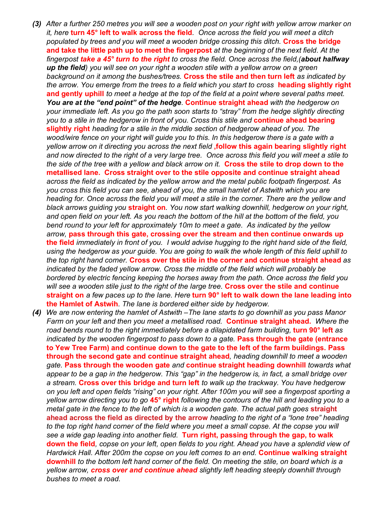- *(3) After a further 250 metres you will see a wooden post on your right with yellow arrow marker on it, here* **turn 45° left to walk across the field***. Once across the field you will meet a ditch populated by trees and you will meet a wooden bridge crossing this ditch.* **Cross the bridge and take the little path up to meet the fingerpost** *at the beginning of the next field. At the fingerpost take a 45° turn to the right to cross the field. Once across the field,(about halfway up the field) you will see on your right a wooden stile with a yellow arrow on a green background on it among the bushes/trees.* **Cross the stile and then turn left** *as indicated by the arrow. You emerge from the trees to a field which you start to cross* **heading slightly right and gently uphill** *to meet a hedge at the top of the field at a point where several paths meet. You are at the "end point" of the hedge.* **Continue straight ahead** *with the hedgerow on your immediate left. As you go the path soon starts to "stray" from the hedge slightly directing you to a stile in the hedgerow in front of you. Cross this stile and* **continue ahead bearing slightly right** *heading for a stile in the middle section of hedgerow ahead of you. The wood/wire fence on your right will guide you to this. In this hedgerow there is a gate with a yellow arrow on it directing you across the next field* **,follow this again bearing slightly right** *and now directed to the right of a very large tree. Once across this field you will meet a stile to the side of the tree with a yellow and black arrow on it.* **Cross the stile to drop down to the metallised lane. Cross straight over to the stile opposite and continue straight ahead** *across the field as indicated by the yellow arrow and the metal public footpath fingerpost. As you cross this field you can see, ahead of you, the small hamlet of Astwith which you are heading for. Once across the field you will meet a stile in the corner. There are the yellow and black arrows guiding you* **straight on***. You now start walking downhill, hedgerow on your right, and open field on your left. As you reach the bottom of the hill at the bottom of the field, you bend round to your left for approximately 10m to meet a gate. As indicated by the yellow arrow,* **pass through this gate, crossing over the stream and then continue onwards up the field** *immediately in front of you. I would advise hugging to the right hand side of the field, using the hedgerow as your guide. You are going to walk the whole length of this field uphill to the top right hand corner.* **Cross over the stile in the corner and continue straight ahead** *as indicated by the faded yellow arrow. Cross the middle of the field which will probably be bordered by electric fencing keeping the horses away from the path. Once across the field you will see a wooden stile just to the right of the large tree.* **Cross over the stile and continue straight on** *a few paces up to the lane. Here* **turn 90° left to walk down the lane leading into the Hamlet of Astwih***. The lane is bordered either side by hedgerow.*
- *(4) We are now entering the hamlet of Astwith –The lane starts to go downhill as you pass Manor Farm on your left and then you meet a metallised road.* **Continue straight ahead.** *Where the road bends round to the right immediately before a dilapidated farm building, turn 90° left as indicated by the wooden fingerpost to pass down to a gate.* **Pass through the gate (entrance to Yew Tree Farm) and continue down to the gate to the left of the farm buildings. Pass through the second gate and continue straight ahead***, heading downhill to meet a wooden gate.* **Pass through the wooden gate** *and* **continue straight heading downhill** *towards what appear to be a gap in the hedgerow. This "gap" in the hedgerow is, in fact, a small bridge over a stream.* **Cross over this bridge and turn left** *to walk up the trackway. You have hedgerow on you left and open fields "rising" on your right. After 100m you will see a fingerpost sporting a yellow arrow directing you to go* **45° right** *following the contours of the hill and leading you to a metal gate in the fence to the left of which is a wooden gate. The actual path goes straight* **ahead across the field as directed by the arrow** *heading to the right of a "lone tree" heading*  to the top right hand corner of the field where you meet a small copse. At the copse you will *see a wide gap leading into another field.* **Turn right, passing through the gap, to walk down the field***, copse on your left, open fields to you right. Ahead you have a splendid view of Hardwick Hall. After 200m the copse on you left comes to an end.* **Continue walking straight downhill** *to the bottom left hand corner of the field. On meeting the stile, on board which is a yellow arrow, cross over and continue ahead slightly left heading steeply downhill through bushes to meet a road.*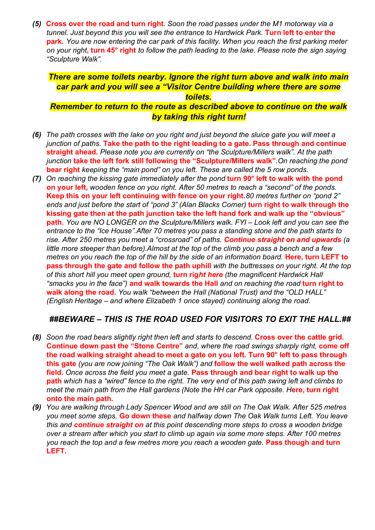*(5)* **Cross over the road and turn right***. Soon the road passes under the M1 motorway via a tunnel. Just beyond this you will see the entrance to Hardwick Park.* **Turn left to enter the park.** *You are now entering the car park of this facility. When you reach the first parking meter on your right***, turn 45° right** *to follow the path leading to the lake. Please note the sign saying "Sculpture Walk".*

### *There are some toilets nearby. Ignore the right turn above and walk into main car park and you will see a "Visitor Centre building where there are some toilets.*

#### *Remember to return to the route as described above to continue on the walk by taking this right turn!*

- *(6) The path crosses with the lake on you right and just beyond the sluice gate you will meet a junction of paths.* **Take the path to the right leading to a gate. Pass through and continue straight ahead.** *Please note you are currently on "the Sculpture/Millers walk". At the path junction* **take the left fork still following the "Sculpture/Millers walk"***.On reaching the pond*  **bear right** *keeping the "main pond" on you left. These are called the 5 row ponds.*
- *(7) On reaching the kissing gate immediately after the pond* **turn 90° left to walk with the pond on your left,** *wooden fence on you right. After 50 metres to reach a "second" of the ponds.*  **Keep this on your left continuing with fence on your right.***80 metres further on "pond 2" ends and just before the start of "pond 3" (Alan Blacks Corner)* **turn right to walk through the kissing gate then at the path junction take the left hand fork and walk up the "obvious" path.** *You are NO LONGER on the Sculpture/Millers walk. FYI – Look left and you can see the entrance to the "Ice House".After 70 metres you pass a standing stone and the path starts to rise. After 250 metres you meet a "crossroad" of paths. Continue straight on and upwards (a little more steeper than before).Almost at the top of the climb you pass a bench and a few metres on you reach the top of the hill by the side of an information board.* Here, turn LEFT to **pass through the gate and follow the path uphill** *with the buttresses on your right. At the top of this short hill you meet open ground,* **turn rig***ht here (the magnificent Hardwick Hall "smacks you in the face")* **and walk towards the Hall** *and on reaching the road* **turn right to walk along the road.** *You walk "between the Hall (National Trust) and the "OLD HALL" (English Heritage – and where Elizabeth 1 once stayed) continuing along the road.*

#### *##BEWARE – THIS IS THE ROAD USED FOR VISITORS TO EXIT THE HALL.##*

- *(8) Soon the road bears slightly right then left and starts to descend.* **Cross over the cattle grid. Continue down past the "Stone Centre"** *and, where the road swings sharply right,* **come off the road walking straight ahead to meet a gate on you left. Turn 90° left to pass through this gate** *(you are now joining "The Oak Walk") and* **follow the well walked path across the field.** *Once across the field you meet a gate.* **Pass through and bear right to walk up the path** *which has a "wired" fence to the right. The very end of this path swing left and climbs to meet the main path from the Hall gardens (Note the HH car Park opposite. Here, turn right* **onto the main path.**
- *(9) You are walking through Lady Spencer Wood and are still on The Oak Walk. After 525 metres you meet some steps.* **Go down these** *and halfway down The Oak Walk turns Left. You leave this and continue straight on at this point descending more steps to cross a wooden bridge over a stream after which you start to climb up again via some more steps. After 100 metres you reach the top and a few metres more you reach a wooden gate.* **Pass though and turn LEFT.**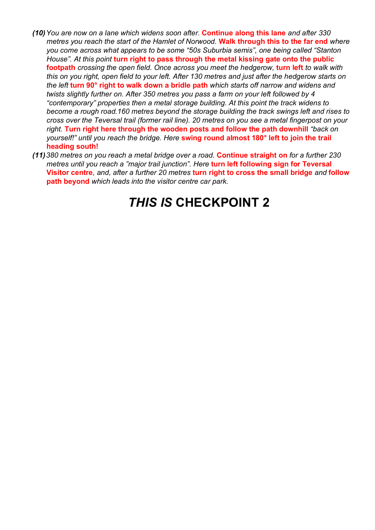- *(10)You are now on a lane which widens soon after.* **Continue along this lane** *and after 330 metres you reach the start of the Hamlet of Norwood.* **Walk through this to the far end** *where you come across what appears to be some "50s Suburbia semis", one being called "Stanton House". At this point* **turn right to pass through the metal kissing gate onto the public footpath** *crossing the open field. Once across you meet the hedgerow,* **turn left** *to walk with this on you right, open field to your left. After 130 metres and just after the hedgerow starts on the left* **turn 90° right to walk down a bridle path** *which starts off narrow and widens and twists slightly further on. After 350 metres you pass a farm on your left followed by 4 "contemporary" properties then a metal storage building. At this point the track widens to become a rough road.160 metres beyond the storage building the track swings left and rises to cross over the Teversal trail (former rail line). 20 metres on you see a metal fingerpost on your right.* **Turn right here through the wooden posts and follow the path downhill** *"back on yourself!" until you reach the bridge. Here* **swing round almost 180° left to join the trail heading south!**
- *(11)380 metres on you reach a metal bridge over a road.* **Continue straight on** *for a further 230 metres until you reach a "major trail junction". Here* **turn left following sign for Teversal Visitor centre***, and, after a further 20 metres* **turn right to cross the small bridge** *and* **follow path beyond** *which leads into the visitor centre car park.*

# *THIS IS* **CHECKPOINT 2**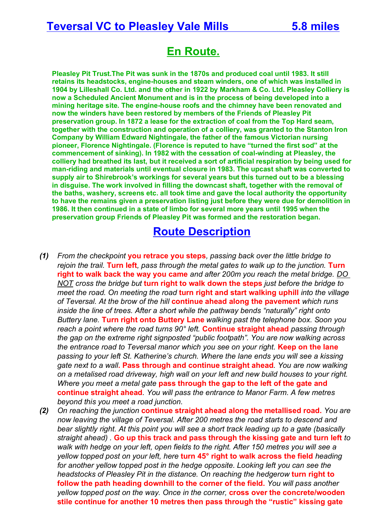### **Teversal VC to Pleasley Vale Mills 5.8 miles**

# **En Route.**

**Pleasley Pit Trust.The Pit was sunk in the 1870s and produced coal until 1983. It still retains its headstocks, engine-houses and steam winders, one of which was installed in 1904 by Lilleshall Co. Ltd. and the other in 1922 by Markham & Co. Ltd. Pleasley Colliery is now a Scheduled Ancient Monument and is in the process of being developed into a mining heritage site. The engine-house roofs and the chimney have been renovated and now the winders have been restored by members of the Friends of Pleasley Pit preservation group. In 1872 a lease for the extraction of coal from the Top Hard seam, together with the construction and operation of a colliery, was granted to the Stanton Iron Company by William Edward Nightingale, the father of the famous Victorian nursing pioneer, Florence Nightingale. (Florence is reputed to have "turned the first sod" at the commencement of sinking). In 1982 with the cessation of coal-winding at Pleasley, the colliery had breathed its last, but it received a sort of artificial respiration by being used for man-riding and materials until eventual closure in 1983. The upcast shaft was converted to supply air to Shirebrook's workings for several years but this turned out to be a blessing in disguise. The work involved in filling the downcast shaft, together with the removal of the baths, washery, screens etc. all took time and gave the local authority the opportunity to have the remains given a preservation listing just before they were due for demolition in 1986. It then continued in a state of limbo for several more years until 1995 when the preservation group Friends of Pleasley Pit was formed and the restoration began.** 

- *(1) From the checkpoint* **you retrace you steps***, passing back over the little bridge to rejoin the trail.* **Turn left***, pass through the metal gates to walk up to the junction.* **Turn right to walk back the way you came** *and after 200m you reach the metal bridge. DO NOT cross the bridge but* **turn right to walk down the steps** *just before the bridge to meet the road. On meeting the road* **turn right and start walking uphill** *into the village of Teversal. At the brow of the hill* **continue ahead along the pavement** *which runs inside the line of trees. After a short while the pathway bends "naturally" right onto Buttery lane.* **Turn right onto Buttery Lane** *walking past the telephone box. Soon you reach a point where the road turns 90° left.* **Continue straight ahead** *passing through the gap on the extreme right signposted "public footpath". You are now walking across the entrance road to Teversal manor which you see on your right.* **Keep on the lane** *passing to your left St. Katherine's church. Where the lane ends you will see a kissing gate next to a wall***. Pass through and continue straight ahead***. You are now walking on a metalised road driveway, high wall on your left and new build houses to your right. Where you meet a metal gate* **pass through the gap to the left of the gate and continue straight ahead***. You will pass the entrance to Manor Farm. A few metres beyond this you meet a road junction.*
- *(2) On reaching the junction* **continue straight ahead along the metallised road.** *You are now leaving the village of Teversal. After 200 metres the road starts to descend and bear slightly right. At this point you will see a short track leading up to a gate (basically straight ahead) .* **Go up this track and pass through the kissing gate and turn left** *to* walk with hedge on your left, open fields to the right. After 150 metres you will see a *yellow topped post on your left, here* **turn 45° right to walk across the field** *heading*  for another yellow topped post in the hedge opposite. Looking left you can see the *headstocks of Pleasley Pit in the distance. On reaching the hedgerow* **turn right to follow the path heading downhill to the corner of the field.** *You will pass another yellow topped post on the way. Once in the corner,* **cross over the concrete/wooden stile continue for another 10 metres then pass through the "rustic" kissing gate**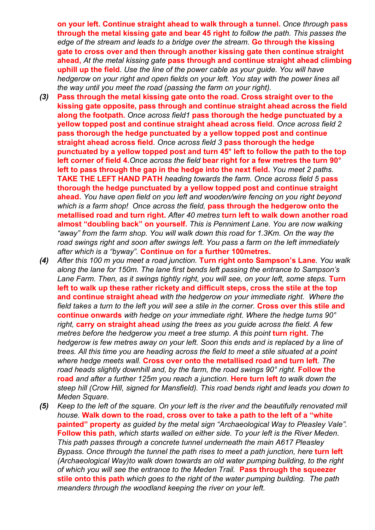**on your left. Continue straight ahead to walk through a tunnel.** *Once through* **pass through the metal kissing gate and bear 45 right** *to follow the path. This passes the edge of the stream and leads to a bridge over the stream.* **Go through the kissing gate to** *c***ross over and then through another kissing gate then continue straight ahead,** *At the metal kissing gate* **pass through and continue straight ahead climbing uphill up the field***. Use the line of the power cable as your guide. You will have hedgerow on your right and open fields on your left. You stay with the power lines all the way until you meet the road (passing the farm on your right).*

- *(3)* **Pass through the metal kissing gate onto the road. Cross straight over to the kissing gate opposite, pass through and continue straight ahead across the field along the footpath.** *Once across field1* **pass thorough the hedge punctuated by a yellow topped post and continue straight ahead across field***. Once across field 2*  **pass thorough the hedge punctuated by a yellow topped post and continue straight ahead across field***. Once across field 3* **pass thorough the hedge punctuated by a yellow topped post and turn 45° left to follow the path to the top left corner of field 4.***Once across the field* **bear right for a few metres the turn 90° left to pass through the gap in the hedge into the next field.** *You meet 2 paths.*  **TAKE THE LEFT HAND PATH** *heading towards the farm. Once across field 5* **pass thorough the hedge punctuated by a yellow topped post and continue straight ahead.** *You have open field on you left and wooden/wire fencing on you right beyond which is a farm shop! Once across the field,* **pass through the hedgerow onto the metallised road and turn right.** *After 40 metres* **turn left to walk down another road almost "doubling back" on yourself.** *This is Penniment Lane. You are now walking "away" from the farm shop. You will walk down this road for 1.3Km. On the way the road swings right and soon after swings left. You pass a farm on the left immediately after which is a "byway".* **Continue on for a further 100metres.**
- *(4) After this 100 m you meet a road junction.* **Turn right onto Sampson's Lane***. You walk along the lane for 150m. The lane first bends left passing the entrance to Sampson's*  Lane Farm. Then, as it swings tightly right, you will see, on your left, some steps. Turn **left to walk up these rather rickety and difficult steps, cross the stile at the top and continue straight ahead** *with the hedgerow on your immediate right. Where the field takes a turn to the left you will see a stile in the corner.* **Cross over this stile and continue onwards** *with hedge on your immediate right. Where the hedge turns 90° right,* **carry on straight ahead** *using the trees as you guide across the field. A few metres before the hedgerow you meet a tree stump. A this point turn right. The hedgerow is few metres away on your left. Soon this ends and is replaced by a line of trees. All this time you are heading across the field to meet a stile situated at a point where hedge meets wall.* **Cross over onto the metallised road and turn left***. The*  road heads slightly downhill and, by the farm, the road swings 90° right. **Follow the road** *and after a further 125m you reach a junction.* **Here turn left** *to walk down the steep hill (Crow Hill, signed for Mansfield). This road bends right and leads you down to Meden Square.*
- *(5) Keep to the left of the square. On your left is the river and the beautifully renovated mill house.* **Walk down to the road, cross over to take a path to the left of a "white painted" property** *as guided by the metal sign "Archaeological Way to Pleasley Vale".*  **Follow this path***, which starts walled on either side. To your left is the River Meden. This path passes through a concrete tunnel underneath the main A617 Pleasley Bypass. Once through the tunnel the path rises to meet a path junction, here furn left (Archaeological Way)to walk down towards an old water pumping building, to the right of which you will see the entrance to the Meden Trail.* **Pass through the squeezer stile onto this path** *which goes to the right of the water pumping building. The path meanders through the woodland keeping the river on your left.*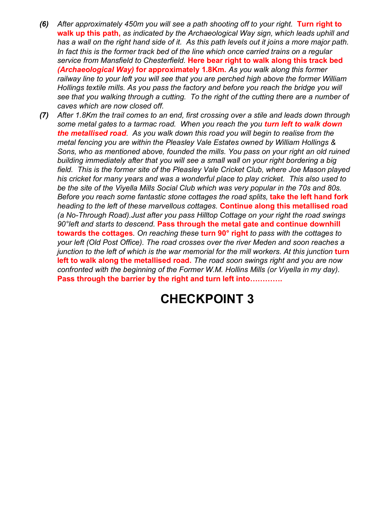- *(6) After approximately 450m you will see a path shooting off to your right.* **Turn right to walk up this path,** *as indicated by the Archaeological Way sign, which leads uphill and has a wall on the right hand side of it. As this path levels out it joins a more major path. In fact this is the former track bed of the line which once carried trains on a regular service from Mansfield to Chesterfield.* **Here bear right to walk along this track bed**  *(Archaeological Way)* **for approximately 1.8Km.** *As you walk along this former railway line to your left you will see that you are perched high above the former William Hollings textile mills. As you pass the factory and before you reach the bridge you will see that you walking through a cutting. To the right of the cutting there are a number of caves which are now closed off.*
- *(7) After 1.8Km the trail comes to an end, first crossing over a stile and leads down through some metal gates to a tarmac road. When you reach the you turn left to walk down the metallised road. As you walk down this road you will begin to realise from the metal fencing you are within the Pleasley Vale Estates owned by William Hollings & Sons, who as mentioned above, founded the mills. You pass on your right an old ruined building immediately after that you will see a small wall on your right bordering a big field. This is the former site of the Pleasley Vale Cricket Club, where Joe Mason played his cricket for many years and was a wonderful place to play cricket. This also used to*  be the site of the Viyella Mills Social Club which was very popular in the 70s and 80s. *Before you reach some fantastic stone cottages the road splits,* **take the left hand fork**  *heading to the left of these marvellous cottages.* **Continue along this metallised road**  *(a No-Through Road).Just after you pass Hilltop Cottage on your right the road swings 90°left and starts to descend.* **Pass through the metal gate and continue downhill towards the cottages***. On reaching these* **turn 90° right** *to pass with the cottages to your left (Old Post Office). The road crosses over the river Meden and soon reaches a junction to the left of which is the war memorial for the mill workers. At this junction turn* **left to walk along the metallised road.** *The road soon swings right and you are now confronted with the beginning of the Former W.M. Hollins Mills (or Viyella in my day).*  **Pass through the barrier by the right and turn left into………….**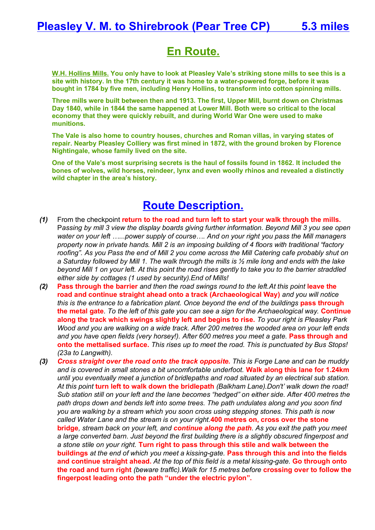# **En Route.**

**W.H. Hollins Mills. You only have to look at Pleasley Vale's striking stone mills to see this is a site with history. In the 17th century it was home to a water-powered forge, before it was bought in 1784 by five men, including Henry Hollins, to transform into cotton spinning mills.**

**Three mills were built between then and 1913. The first, Upper Mill, burnt down on Christmas Day 1840, while in 1844 the same happened at Lower Mill. Both were so critical to the local economy that they were quickly rebuilt, and during World War One were used to make munitions.**

**The Vale is also home to country houses, churches and Roman villas, in varying states of repair. Nearby Pleasley Colliery was first mined in 1872, with the ground broken by Florence Nightingale, whose family lived on the site.**

**One of the Vale's most surprising secrets is the haul of fossils found in 1862. It included the bones of wolves, wild horses, reindeer, lynx and even woolly rhinos and revealed a distinctly wild chapter in the area's history.**

- *(1)* From the checkpoint **return to the road and turn left to start your walk through the mills.** P*assing by mill 3 view the display boards giving further information. Beyond Mill 3 you see open water on your left …...power supply of course…. And on your right you pass the Mill managers property now in private hands. Mill 2 is an imposing building of 4 floors with traditional "factory*  roofing". As you Pass the end of Mill 2 you come across the Mill Catering cafe probably shut on *a Saturday followed by Mill 1. The walk through the mills is ½ mile long and ends with the lake beyond Mill 1 on your left. At this point the road rises gently to take you to the barrier straddled either side by cottages (1 used by security).End of Mills!*
- *(2)* **Pass through the barrier** *and then the road swings round to the left.At this point* **leave the road and continue straight ahead onto a track (Archaeological Way)** *and you will notice*  this is the entrance to a fabrication plant. Once beyond the end of the buildings pass through **the metal gate***. To the left of this gate you can see a sign for the Archaeological way.* **Continue along the track which swings slightly left and begins to rise.** *To your right is Pleasley Park Wood and you are walking on a wide track. After 200 metres the wooded area on your left ends and you have open fields (very horsey!). After 600 metres you meet a gate.* **Pass through and onto the mettalised surface.** *This rises up to meet the road. This is punctuated by Bus Stops! (23a to Langwith).*
- *(3) Cross straight over the road onto the track opposite. This is Forge Lane and can be muddy and is covered in small stones a bit uncomfortable underfoot.* **Walk along this lane for 1.24km**  *until you eventually meet a junction of bridlepaths and road situated by an electrical sub station. At this point* **turn left to walk down the bridlepath** *(Balkham Lane).Don't' walk down the road! Sub station still on your left and the lane becomes "hedged" on either side. After 400 metres the path drops down and bends left into some trees. The path undulates along and you soon find you are walking by a stream which you soon cross using stepping stones. This path is now called Water Lane and the stream is on your right.***400 metres on, cross over the stone bridge***, stream back on your left, and continue along the path. As you exit the path you meet a large converted barn. Just beyond the first building there is a slightly obscured fingerpost and a stone stile on your right.* **Turn right to pass through this stile and walk between the buildings** *at the end of which you meet a kissing-gate.* **Pass through this and into the fields and continue straight ahead.** *At the top of this field is a metal kissing-gate.* **Go through onto the road and turn right** *(beware traffic).Walk for 15 metres before* **crossing over to follow the fingerpost leading onto the path "under the electric pylon".**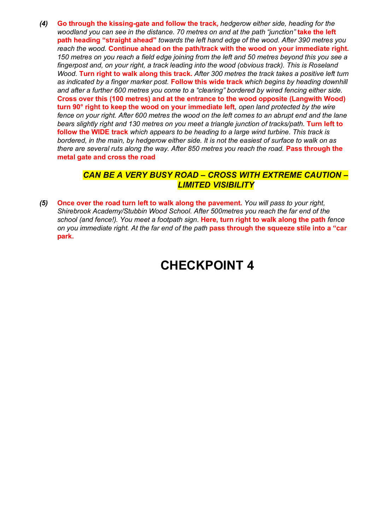*(4)* **Go through the kissing-gate and follow the track,** *hedgerow either side, heading for the woodland you can see in the distance. 70 metres on and at the path "junction"* **take the left path heading "straight ahead"** *towards the left hand edge of the wood. After 390 metres you reach the wood.* **Continue ahead on the path/track with the wood on your immediate right.** *150 metres on you reach a field edge joining from the left and 50 metres beyond this you see a*  fingerpost and, on your right, a track leading into the wood (obvious track). This is Roseland *Wood.* **Turn right to walk along this track.** *After 300 metres the track takes a positive left turn as indicated by a finger marker post.* **Follow this wide track** *which begins by heading downhill and after a further 600 metres you come to a "clearing" bordered by wired fencing either side.*  **Cross over this (100 metres) and at the entrance to the wood opposite (Langwith Wood) turn 90° right to keep the wood on your immediate left***, open land protected by the wire fence on your right. After 600 metres the wood on the left comes to an abrupt end and the lane*  bears slightly right and 130 metres on you meet a triangle junction of tracks/path. **Turn left to follow the WIDE track** *which appears to be heading to a large wind turbine. This track is bordered, in the main, by hedgerow either side. It is not the easiest of surface to walk on as there are several ruts along the way. After 850 metres you reach the road.* **Pass through the metal gate and cross the road**

#### *CAN BE A VERY BUSY ROAD – CROSS WITH EXTREME CAUTION – LIMITED VISIBILITY*

*(5)* **Once over the road turn left to walk along the pavement.** *You will pass to your right, Shirebrook Academy/Stubbin Wood School. After 500metres you reach the far end of the school (and fence!). You meet a footpath sign.* **Here, turn right to walk along the path** *fence on you immediate right. At the far end of the path* **pass through the squeeze stile into a "car park.**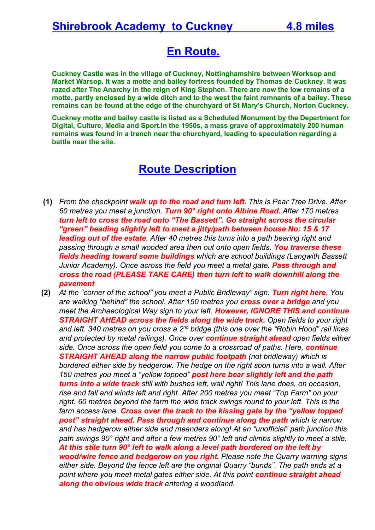# **En Route.**

**Cuckney Castle was in the village of Cuckney, Nottinghamshire between Worksop and Market Warsop. It was a motte and bailey fortress founded by Thomas de Cuckney. It was razed after The Anarchy in the reign of King Stephen. There are now the low remains of a motte, partly enclosed by a wide ditch and to the west the faint remnants of a bailey. These remains can be found at the edge of the churchyard of St Mary's Church, Norton Cuckney.**

**Cuckney motte and bailey castle is listed as a Scheduled Monument by the Department for Digital, Culture, Media and Sport.In the 1950s, a mass grave of approximately 200 human remains was found in a trench near the churchyard, leading to speculation regarding a battle near the site.**

- **(1)** *From the checkpoint walk up to the road and turn left. This is Pear Tree Drive. After 60 metres you meet a junction. Turn 90° right onto Albine Road. After 170 metres turn left to cross the road onto "The Bassett". Go straight across the circular "green" heading slightly left to meet a jitty/path between house No: 15 & 17 leading out of the estate. After 40 metres this turns into a path bearing right and passing through a small wooded area then out onto open fields. You traverse these fields heading toward some buildings which are school buildings (Langwith Bassett Junior Academy). Once across the field you meet a metal gate. Pass through and cross the road (PLEASE TAKE CARE) then turn left to walk downhill along the pavement*
- **(2)** *At the "corner of the school" you meet a Public Bridleway" sign. Turn right here. You are walking "behind" the school. After 150 metres you cross over a bridge and you meet the Archaeological Way sign to your left. However, IGNORE THIS and continue STRAIGHT AHEAD across the fields along the wide track. Open fields to your right and left. 340 metres on you cross a 2nd bridge (this one over the "Robin Hood" rail lines and protected by metal railings). Once over continue straight ahead open fields either side. Once across the open field you come to a crossroad of paths. Here, continue STRAIGHT AHEAD along the narrow public footpath (not bridleway) which is bordered either side by hedgerow. The hedge on the right soon turns into a wall. After 150 metres you meet a "yellow topped" post here bear slightly left and the path turns into a wide track still with bushes left, wall right! This lane does, on occasion, rise and fall and winds left and right. After 200 metres you meet "Top Farm" on your right. 60 metres beyond the farm the wide track swings round to your left. This is the farm access lane. Cross over the track to the kissing gate by the "yellow topped post" straight ahead. Pass through and continue along the path which is narrow and has hedgerow either side and meanders along! At an "unofficial" path junction this path swings 90° right and after a few metres 90° left and climbs slightly to meet a stile. At this stile turn 90° left to walk along a level path bordered on the left by wood/wire fence and hedgerow on you right. Please note the Quarry warning signs either side. Beyond the fence left are the original Quarry "bunds". The path ends at a point where you meet metal gates either side. At this point continue straight ahead along the obvious wide track entering a woodland.*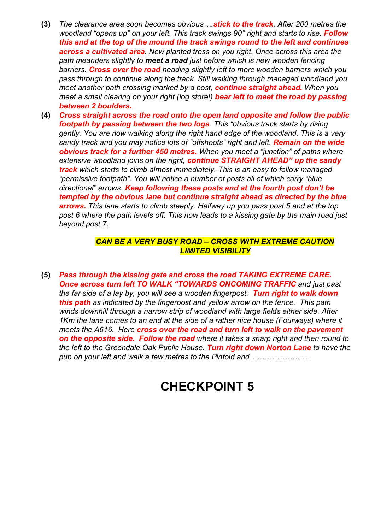- **(3)** *The clearance area soon becomes obvious….stick to the track. After 200 metres the woodland "opens up" on your left. This track swings 90° right and starts to rise. Follow this and at the top of the mound the track swings round to the left and continues across a cultivated area. New planted tress on you right. Once across this area the path meanders slightly to meet a road just before which is new wooden fencing barriers. Cross over the road heading slightly left to more wooden barriers which you pass through to continue along the track. Still walking through managed woodland you meet another path crossing marked by a post, continue straight ahead. When you meet a small clearing on your right (log store!) bear left to meet the road by passing between 2 boulders.*
- **(4)** *Cross straight across the road onto the open land opposite and follow the public footpath by passing between the two logs. This "obvious track starts by rising gently. You are now walking along the right hand edge of the woodland. This is a very sandy track and you may notice lots of "offshoots" right and left. Remain on the wide obvious track for a further 450 metres. When you meet a "junction" of paths where extensive woodland joins on the right, continue STRAIGHT AHEAD" up the sandy track which starts to climb almost immediately. This is an easy to follow managed "permissive footpath". You will notice a number of posts all of which carry "blue directional" arrows. Keep following these posts and at the fourth post don't be tempted by the obvious lane but continue straight ahead as directed by the blue arrows. This lane starts to climb steeply. Halfway up you pass post 5 and at the top post 6 where the path levels off. This now leads to a kissing gate by the main road just beyond post 7.*

#### *CAN BE A VERY BUSY ROAD – CROSS WITH EXTREME CAUTION LIMITED VISIBILITY*

**(5)** *Pass through the kissing gate and cross the road TAKING EXTREME CARE.*  **Once across turn left TO WALK "TOWARDS ONCOMING TRAFFIC and just past** *the far side of a lay by, you will see a wooden fingerpost. Turn right to walk down this path as indicated by the fingerpost and yellow arrow on the fence. This path winds downhill through a narrow strip of woodland with large fields either side. After 1Km the lane comes to an end at the side of a rather nice house (Fourways) where it meets the A616. Here cross over the road and turn left to walk on the pavement on the opposite side. Follow the road where it takes a sharp right and then round to the left to the Greendale Oak Public House. Turn right down Norton Lane to have the pub on your left and walk a few metres to the Pinfold and……………………*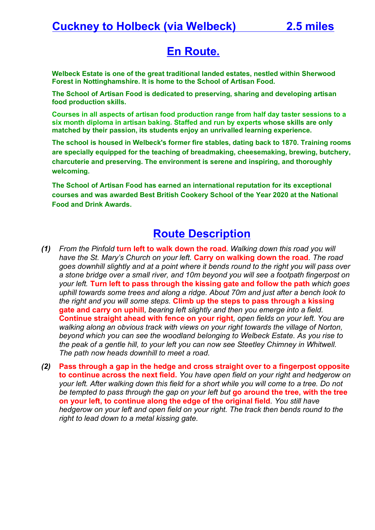# **En Route.**

**Welbeck Estate is one of the great traditional landed estates, nestled within Sherwood Forest in Nottinghamshire. It is home to the School of Artisan Food.**

**The School of Artisan Food is dedicated to preserving, sharing and developing artisan food production skills.**

**Courses in all aspects of artisan food production range from half day taster sessions to a six month diploma in artisan baking. Staffed and run by experts whose skills are only matched by their passion, its students enjoy an unrivalled learning experience.**

**The school is housed in Welbeck's former fire stables, dating back to 1870. Training rooms are specially equipped for the teaching of breadmaking, cheesemaking, brewing, butchery, charcuterie and preserving. The environment is serene and inspiring, and thoroughly welcoming.**

**The School of Artisan Food has earned an international reputation for its exceptional courses and was awarded Best British Cookery School of the Year 2020 at the National Food and Drink Awards.**

- *(1) From the Pinfold* **turn left to walk down the road***. Walking down this road you will have the St. Mary's Church on your left.* **Carry on walking down the road***. The road goes downhill slightly and at a point where it bends round to the right you will pass over a stone bridge over a small river, and 10m beyond you will see a footpath fingerpost on your left.* **Turn left to pass through the kissing gate and follow the path** *which goes uphill towards some trees and along a ridge. About 70m and just after a bench look to the right and you will some steps.* **Climb up the steps to pass through a kissing gate and carry on uphill***, bearing left slightly and then you emerge into a field.*  **Continue straight ahead with fence on your right***, open fields on your left. You are walking along an obvious track with views on your right towards the village of Norton, beyond which you can see the woodland belonging to Welbeck Estate. As you rise to the peak of a gentle hill, to your left you can now see Steetley Chimney in Whitwell. The path now heads downhill to meet a road.*
- *(2)* **Pass through a gap in the hedge and cross straight over to a fingerpost opposite to continue across the next field.** *You have open field on your right and hedgerow on your left. After walking down this field for a short while you will come to a tree. Do not be tempted to pass through the gap on your left but* **go around the tree, with the tree on your left, to continue along the edge of the original field***. You still have hedgerow on your left and open field on your right. The track then bends round to the right to lead down to a metal kissing gate.*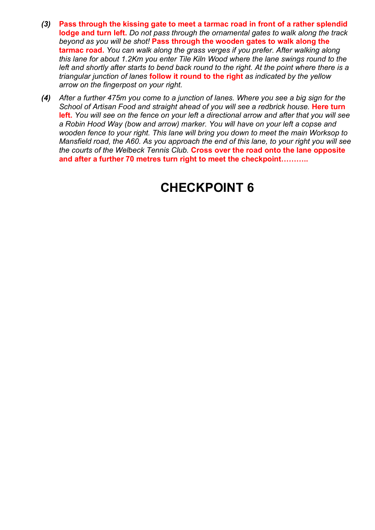- *(3)* **Pass through the kissing gate to meet a tarmac road in front of a rather splendid lodge and turn left.** *Do not pass through the ornamental gates to walk along the track beyond as you will be shot!* **Pass through the wooden gates to walk along the tarmac road.** *You can walk along the grass verges if you prefer. After walking along this lane for about 1.2Km you enter Tile Kiln Wood where the lane swings round to the left and shortly after starts to bend back round to the right. At the point where there is a triangular junction of lanes* **follow it round to the right** *as indicated by the yellow arrow on the fingerpost on your right.*
- *(4) After a further 475m you come to a junction of lanes. Where you see a big sign for the School of Artisan Food and straight ahead of you will see a redbrick house.* Here turn **left.** *You will see on the fence on your left a directional arrow and after that you will see a Robin Hood Way (bow and arrow) marker. You will have on your left a copse and wooden fence to your right. This lane will bring you down to meet the main Worksop to Mansfield road, the A60. As you approach the end of this lane, to your right you will see the courts of the Welbeck Tennis Club.* **Cross over the road onto the lane opposite and after a further 70 metres turn right to meet the checkpoint………..**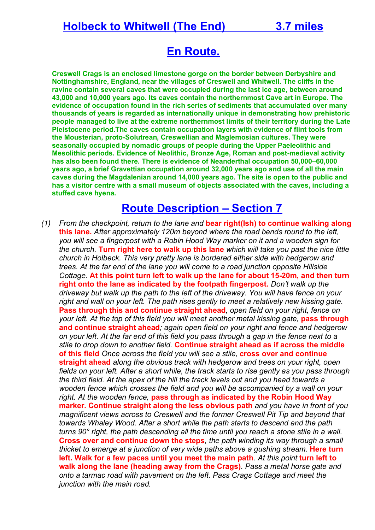# **Holbeck to Whitwell (The End) 3.7 miles**

# **En Route.**

**Creswell Crags is an enclosed limestone gorge on the border between Derbyshire and Nottinghamshire, England, near the villages of Creswell and Whitwell. The cliffs in the ravine contain several caves that were occupied during the last ice age, between around 43,000 and 10,000 years ago. Its caves contain the northernmost Cave art in Europe. The evidence of occupation found in the rich series of sediments that accumulated over many thousands of years is regarded as internationally unique in demonstrating how prehistoric people managed to live at the extreme northernmost limits of their territory during the Late Pleistocene period.The caves contain occupation layers with evidence of flint tools from the Mousterian, proto-Solutrean, Creswellian and Maglemosian cultures. They were seasonally occupied by nomadic groups of people during the Upper Paeleolithic and Mesolithic periods. Evidence of Neolithic, Bronze Age, Roman and post-medieval activity has also been found there. There is evidence of Neanderthal occupation 50,000–60,000 years ago, a brief Gravettian occupation around 32,000 years ago and use of all the main caves during the Magdalenian around 14,000 years ago. The site is open to the public and has a visitor centre with a small museum of objects associated with the caves, including a stuffed cave hyena.**

### **Route Description – Section 7**

*(1) From the checkpoint, return to the lane and* **bear right(Ish) to continue walking along this lane.** *After approximately 120m beyond where the road bends round to the left, you will see a fingerpost with a Robin Hood Way marker on it and a wooden sign for the church.* **Turn right here to walk up this lane** *which will take you past the nice little church in Holbeck. This very pretty lane is bordered either side with hedgerow and trees. At the far end of the lane you will come to a road junction opposite Hillside Cottage.* **At this point turn left to walk up the lane for about 15-20m, and then turn right onto the lane as indicated by the footpath fingerpost.** *Don't walk up the driveway but walk up the path to the left of the driveway. You will have fence on your right and wall on your left. The path rises gently to meet a relatively new kissing gate.*  **Pass through this and continue straight ahead***, open field on your right, fence on your left. At the top of this field you will meet another metal kissing gate, pass through* **and continue straight ahead***; again open field on your right and fence and hedgerow on your left. At the far end of this field you pass through a gap in the fence next to a stile to drop down to another field.* **Continue straight ahead as if across the middle of this field** *Once across the field you will see a stile,* **cross over and continue straight ahead** *along the obvious track with hedgerow and trees on your right, open fields on your left. After a short while, the track starts to rise gently as you pass through the third field. At the apex of the hill the track levels out and you head towards a wooden fence which crosses the field and you will be accompanied by a wall on your right. At the wooden fence,* **pass through as indicated by the Robin Hood Way marker. Continue straight along the less obvious path** *and you have in front of you magnificent views across to Creswell and the former Creswell Pit Tip and beyond that towards Whaley Wood. After a short while the path starts to descend and the path turns 90° right, the path descending all the time until you reach a stone stile in a wall.*  **Cross over and continue down the steps***, the path winding its way through a small thicket to emerge at a junction of very wide paths above a gushing stream.* Here turn **left. Walk for a few paces until you meet the main path***. At this point* **turn left to walk along the lane (heading away from the Crags)***. Pass a metal horse gate and onto a tarmac road with pavement on the left. Pass Crags Cottage and meet the junction with the main road.*